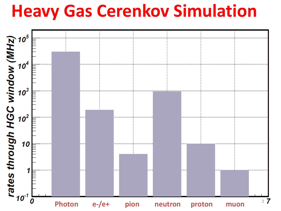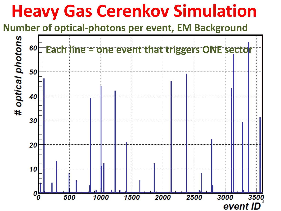**Number of optical-photons per event, EM Background**

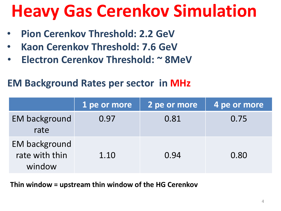- **Pion Cerenkov Threshold: 2.2 GeV**
- **Kaon Cerenkov Threshold: 7.6 GeV**
- **Electron Cerenkov Threshold: ~ 8MeV**

#### **EM Background Rates per sector in MHz**

|                                                  | 1 pe or more | 2 pe or more | 4 pe or more |
|--------------------------------------------------|--------------|--------------|--------------|
| <b>EM background</b><br>rate                     | 0.97         | 0.81         | 0.75         |
| <b>EM background</b><br>rate with thin<br>window | 1.10         | 0.94         | 0.80         |

**Thin window = upstream thin window of the HG Cerenkov**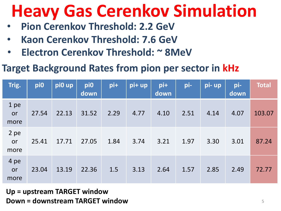- **Pion Cerenkov Threshold: 2.2 GeV**
- **Kaon Cerenkov Threshold: 7.6 GeV**
- **Electron Cerenkov Threshold: ~ 8MeV**

#### **Target Background Rates from pion per sector in kHz**

| Trig.              | pi0   | pi0 up | pi0<br>down | pi+  | pi+ up | pi+<br>down | pi-  | pi- up | pi-<br>down | <b>Total</b> |
|--------------------|-------|--------|-------------|------|--------|-------------|------|--------|-------------|--------------|
| 1 pe<br>or<br>more | 27.54 | 22.13  | 31.52       | 2.29 | 4.77   | 4.10        | 2.51 | 4.14   | 4.07        | 103.07       |
| 2 pe<br>or<br>more | 25.41 | 17.71  | 27.05       | 1.84 | 3.74   | 3.21        | 1.97 | 3.30   | 3.01        | 87.24        |
| 4 pe<br>or<br>more | 23.04 | 13.19  | 22.36       | 1.5  | 3.13   | 2.64        | 1.57 | 2.85   | 2.49        | 72.77        |

**Up = upstream TARGET window Down = downstream TARGET window** <sup>5</sup>